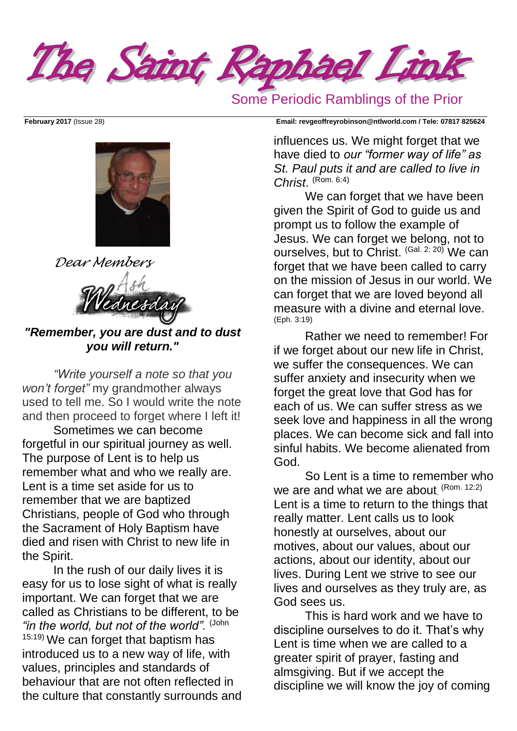The Saint Raphael Link

### Some Periodic Ramblings of the Prior





*"Remember, you are dust and to dust you will return."*

*"Write yourself a note so that you won't forget"* my grandmother always used to tell me. So I would write the note and then proceed to forget where I left it!

Sometimes we can become forgetful in our spiritual journey as well. The purpose of Lent is to help us remember what and who we really are. Lent is a time set aside for us to remember that we are baptized Christians, people of God who through the Sacrament of Holy Baptism have died and risen with Christ to new life in the Spirit.

In the rush of our daily lives it is easy for us to lose sight of what is really important. We can forget that we are called as Christians to be different, to be *"in the world, but not of the world".* (John 15:19) We can forget that baptism has introduced us to a new way of life, with values, principles and standards of behaviour that are not often reflected in the culture that constantly surrounds and

**February 2017** (Issue 28) **Email: [revgeoffreyrobinson@ntlworld.com](mailto:revgeoffreyrobinson@ntlworld.com) / Tele: 07817 825624**

influences us. We might forget that we have died to *our "former way of life" as St. Paul puts it and are called to live in Christ*. (Rom. 6:4)

We can forget that we have been given the Spirit of God to guide us and prompt us to follow the example of Jesus. We can forget we belong, not to ourselves, but to Christ. <sup>(Gal. 2: 20)</sup> We can forget that we have been called to carry on the mission of Jesus in our world. We can forget that we are loved beyond all measure with a divine and eternal love. (Eph. 3:19)

Rather we need to remember! For if we forget about our new life in Christ, we suffer the consequences. We can suffer anxiety and insecurity when we forget the great love that God has for each of us. We can suffer stress as we seek love and happiness in all the wrong places. We can become sick and fall into sinful habits. We become alienated from God.

So Lent is a time to remember who we are and what we are about. (Rom. 12:2) Lent is a time to return to the things that really matter. Lent calls us to look honestly at ourselves, about our motives, about our values, about our actions, about our identity, about our lives. During Lent we strive to see our lives and ourselves as they truly are, as God sees us.

This is hard work and we have to discipline ourselves to do it. That's why Lent is time when we are called to a greater spirit of prayer, fasting and almsgiving. But if we accept the discipline we will know the joy of coming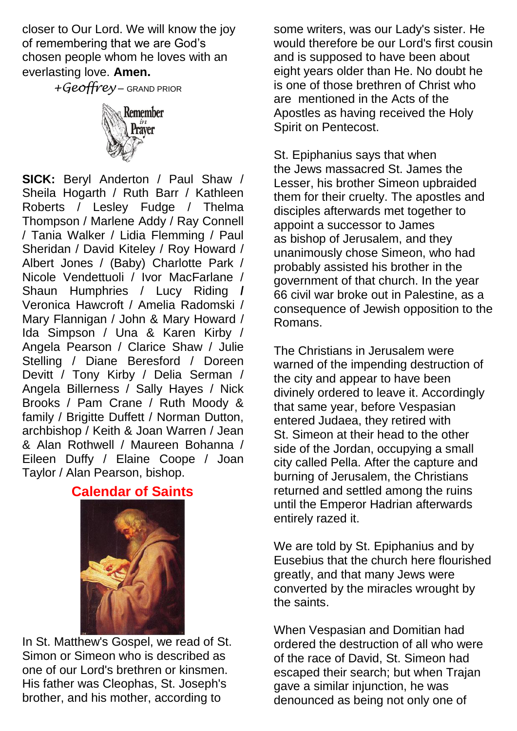closer to Our Lord. We will know the joy of remembering that we are God's chosen people whom he loves with an everlasting love. **Amen.**

*+Geoffrey* – GRAND PRIOR



**SICK:** Beryl Anderton / Paul Shaw / Sheila Hogarth / Ruth Barr / Kathleen Roberts / Lesley Fudge / Thelma Thompson / Marlene Addy / Ray Connell / Tania Walker / Lidia Flemming / Paul Sheridan / David Kiteley / Roy Howard / Albert Jones / (Baby) Charlotte Park / Nicole Vendettuoli / Ivor MacFarlane / Shaun Humphries / Lucy Riding **/**  Veronica Hawcroft / Amelia Radomski / Mary Flannigan / John & Mary Howard / Ida Simpson / Una & Karen Kirby / Angela Pearson / Clarice Shaw / Julie Stelling / Diane Beresford / Doreen Devitt / Tony Kirby / Delia Serman / Angela Billerness / Sally Hayes / Nick Brooks / Pam Crane / Ruth Moody & family / Brigitte Duffett / Norman Dutton, archbishop / Keith & Joan Warren / Jean & Alan Rothwell / Maureen Bohanna / Eileen Duffy / Elaine Coope / Joan Taylor / Alan Pearson, bishop.

# **Calendar of Saints**



**In St. Matthew's Gospel, we read of [St.](http://www.catholic.org/saints/saint.php?saint_id=747)  [Simon](http://www.catholic.org/saints/saint.php?saint_id=747) or [Simeon](http://www.catholic.org/encyclopedia/view.php?id=10827) who is described as one of our Lord's brethren or kinsmen. His father was Cleophas, St. Joseph's brother, and his mother, according to** 

**some writers, was our Lady's sister. He would therefore be our Lord's first cousin and is supposed to have been about eight years older than He. No [doubt](http://www.catholic.org/encyclopedia/view.php?id=4001) he is one of those brethren of [Christ](http://www.catholic.org/clife/jesus) who are mentioned in the [Acts](http://www.catholic.org/bible/book.php?id=51) of the [Apostles](http://www.catholic.org/encyclopedia/view.php?id=933) as having received the [Holy](http://www.catholic.org/encyclopedia/view.php?id=5854)  [Spirit](http://www.catholic.org/encyclopedia/view.php?id=5854) on Pentecost.** 

**St. [Epiphanius](http://www.catholic.org/encyclopedia/view.php?id=4322) says that when the [Jews](http://www.catholic.org/encyclopedia/view.php?id=6511) massacred St. [James](http://www.catholic.org/bible/book.php?id=66) the Lesser, his brother [Simeon](http://www.catholic.org/encyclopedia/view.php?id=10827) upbraided them for their cruelty. The [apostles](http://www.catholic.org/encyclopedia/view.php?id=933) and disciples afterwards met together to appoint a successor to [James](http://www.catholic.org/bible/book.php?id=66) as [bishop](http://www.catholic.org/encyclopedia/view.php?id=1918) of Jerusalem, and they unanimously chose Simeon, who had probably assisted his brother in the government of that church. In the year 66 civil [war](http://www.catholic.org/encyclopedia/view.php?id=12206) broke out in Palestine, as a consequence of [Jewish](http://www.catholic.org/encyclopedia/view.php?id=6511) opposition to the Romans.**

**The Christians in [Jerusalem](http://www.catholic.org/encyclopedia/view.php?id=6304) were warned of the impending destruction of the city and appear to have been divinely ordered to leave it. Accordingly that same year, before [Vespasian](http://www.catholic.org/encyclopedia/view.php?id=12006) entered Judaea, they retired with St. [Simeon](http://www.catholic.org/encyclopedia/view.php?id=10827) at their head to the other side of the Jordan, occupying a small city called Pella. After the capture and burning of Jerusalem, the Christians returned and settled among the ruins until the Emperor [Hadrian](http://www.catholic.org/encyclopedia/view.php?id=5478) afterwards entirely razed it.** 

**We are told by St. [Epiphanius](http://www.catholic.org/encyclopedia/view.php?id=4322) and by Eusebius that the church here flourished greatly, and that many [Jews](http://www.catholic.org/encyclopedia/view.php?id=6511) were converted by the miracles wrought by the saints.** 

**When [Vespasian](http://www.catholic.org/encyclopedia/view.php?id=12006) and [Domitian](http://www.catholic.org/encyclopedia/view.php?id=3962) had ordered the destruction of all who were of the race of David, St. [Simeon](http://www.catholic.org/encyclopedia/view.php?id=10827) had escaped their search; but when [Trajan](http://www.catholic.org/encyclopedia/view.php?id=11658) gave a similar injunction, he was denounced as being not only one of**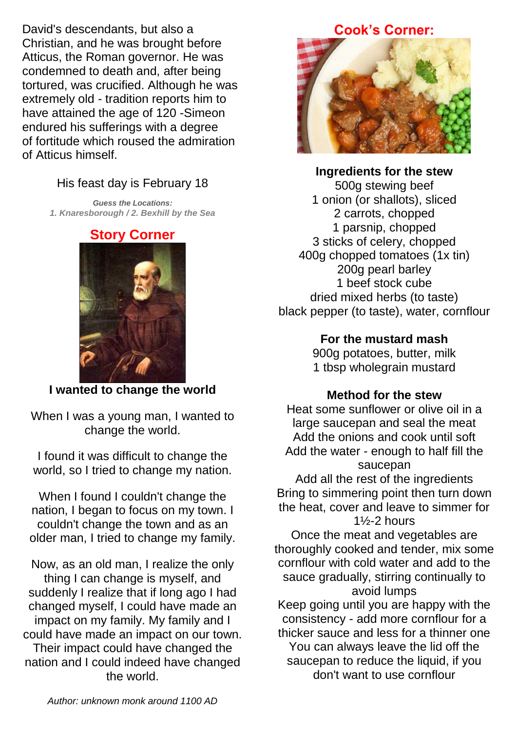**David's descendants, but also a Christian, and he was brought before Atticus, the Roman governor. He was condemned to death and, after being tortured, was crucified. Although he was extremely old - tradition reports him to have attained the age of 120 [-Simeon](http://www.catholic.org/encyclopedia/view.php?id=10827) endured his sufferings with a degree of [fortitude](http://www.catholic.org/encyclopedia/view.php?id=4792) which roused the admiration of [Atticus](http://www.catholic.org/encyclopedia/view.php?id=1225) himself.** 

## **His [feast day](http://www.catholic.org/saints/f_day/) is February 18**

*Guess the Locations: 1. Knaresborough / 2. Bexhill by the Sea*

### **Story Corner**



**I wanted to change the world**

When I was a young man, I wanted to change the world.

I found it was difficult to change the world, so I tried to change my nation.

When I found I couldn't change the nation, I began to focus on my town. I couldn't change the town and as an older man, I tried to change my family.

Now, as an old man, I realize the only thing I can change is myself, and suddenly I realize that if long ago I had changed myself, I could have made an impact on my family. My family and I could have made an impact on our town.

Their impact could have changed the nation and I could indeed have changed the world.

#### **Cook's Corner:**



**Ingredients for the stew** 500g stewing beef 1 onion (or shallots), sliced 2 carrots, chopped 1 parsnip, chopped 3 sticks of celery, chopped 400g chopped tomatoes (1x tin) 200g pearl barley 1 beef stock cube dried mixed herbs (to taste) black pepper (to taste), water, cornflour

#### **For the mustard mash**

900g potatoes, butter, milk 1 tbsp wholegrain mustard

#### **Method for the stew**

Heat some sunflower or olive oil in a large saucepan and seal the meat Add the onions and cook until soft Add the water - enough to half fill the saucepan

Add all the rest of the ingredients Bring to simmering point then turn down the heat, cover and leave to simmer for 1½-2 hours

Once the meat and vegetables are thoroughly cooked and tender, mix some cornflour with cold water and add to the sauce gradually, stirring continually to avoid lumps

Keep going until you are happy with the consistency - add more cornflour for a thicker sauce and less for a thinner one

You can always leave the lid off the saucepan to reduce the liquid, if you don't want to use cornflour